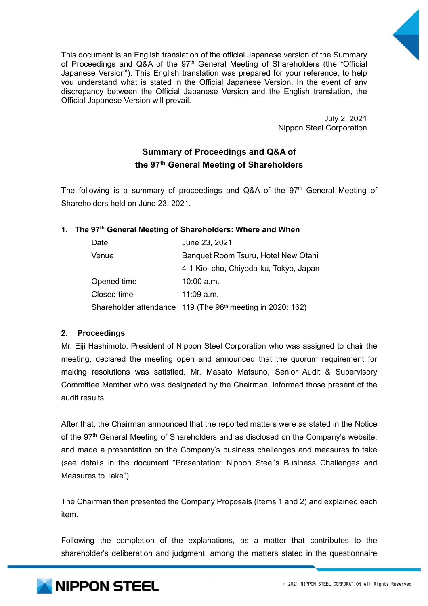

This document is an English translation of the official Japanese version of the Summary of Proceedings and  $Q\&A$  of the  $97<sup>th</sup>$  General Meeting of Shareholders (the "Official Japanese Version"). This English translation was prepared for your reference, to help you understand what is stated in the Official Japanese Version. In the event of any discrepancy between the Official Japanese Version and the English translation, the Official Japanese Version will prevail.

> July 2, 2021 Nippon Steel Corporation

# **Summary of Proceedings and Q&A of the 97th General Meeting of Shareholders**

The following is a summary of proceedings and Q&A of the 97<sup>th</sup> General Meeting of Shareholders held on June 23, 2021.

## **1**. **The 97th General Meeting of Shareholders: Where and When**

| Date        | June 23, 2021                                                          |
|-------------|------------------------------------------------------------------------|
| Venue       | Banquet Room Tsuru, Hotel New Otani                                    |
|             | 4-1 Kioi-cho, Chiyoda-ku, Tokyo, Japan                                 |
| Opened time | $10:00$ a.m.                                                           |
| Closed time | $11:09$ a.m.                                                           |
|             | Shareholder attendance 119 (The 96 <sup>th</sup> meeting in 2020: 162) |

## **2**. **Proceedings**

Mr. Eiji Hashimoto, President of Nippon Steel Corporation who was assigned to chair the meeting, declared the meeting open and announced that the quorum requirement for making resolutions was satisfied. Mr. Masato Matsuno, Senior Audit & Supervisory Committee Member who was designated by the Chairman, informed those present of the audit results.

After that, the Chairman announced that the reported matters were as stated in the Notice of the 97<sup>th</sup> General Meeting of Shareholders and as disclosed on the Company's website, and made a presentation on the Company's business challenges and measures to take (see details in the document "Presentation: Nippon Steel's Business Challenges and Measures to Take").

The Chairman then presented the Company Proposals (Items 1 and 2) and explained each item.

Following the completion of the explanations, as a matter that contributes to the shareholder's deliberation and judgment, among the matters stated in the questionnaire

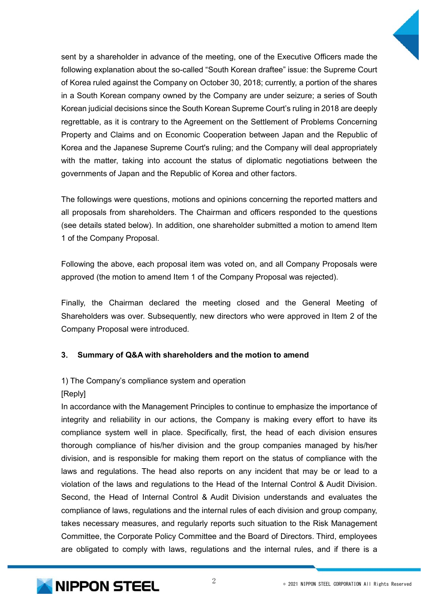

sent by a shareholder in advance of the meeting, one of the Executive Officers made the following explanation about the so-called "South Korean draftee" issue: the Supreme Court of Korea ruled against the Company on October 30, 2018; currently, a portion of the shares in a South Korean company owned by the Company are under seizure; a series of South Korean judicial decisions since the South Korean Supreme Court's ruling in 2018 are deeply regrettable, as it is contrary to the Agreement on the Settlement of Problems Concerning Property and Claims and on Economic Cooperation between Japan and the Republic of Korea and the Japanese Supreme Court's ruling; and the Company will deal appropriately with the matter, taking into account the status of diplomatic negotiations between the governments of Japan and the Republic of Korea and other factors.

The followings were questions, motions and opinions concerning the reported matters and all proposals from shareholders. The Chairman and officers responded to the questions (see details stated below). In addition, one shareholder submitted a motion to amend Item 1 of the Company Proposal.

Following the above, each proposal item was voted on, and all Company Proposals were approved (the motion to amend Item 1 of the Company Proposal was rejected).

Finally, the Chairman declared the meeting closed and the General Meeting of Shareholders was over. Subsequently, new directors who were approved in Item 2 of the Company Proposal were introduced.

## **3**. **Summary of Q&A with shareholders and the motion to amend**

## 1) The Company's compliance system and operation

#### [Reply]

In accordance with the Management Principles to continue to emphasize the importance of integrity and reliability in our actions, the Company is making every effort to have its compliance system well in place. Specifically, first, the head of each division ensures thorough compliance of his/her division and the group companies managed by his/her division, and is responsible for making them report on the status of compliance with the laws and regulations. The head also reports on any incident that may be or lead to a violation of the laws and regulations to the Head of the Internal Control & Audit Division. Second, the Head of Internal Control & Audit Division understands and evaluates the compliance of laws, regulations and the internal rules of each division and group company, takes necessary measures, and regularly reports such situation to the Risk Management Committee, the Corporate Policy Committee and the Board of Directors. Third, employees are obligated to comply with laws, regulations and the internal rules, and if there is a

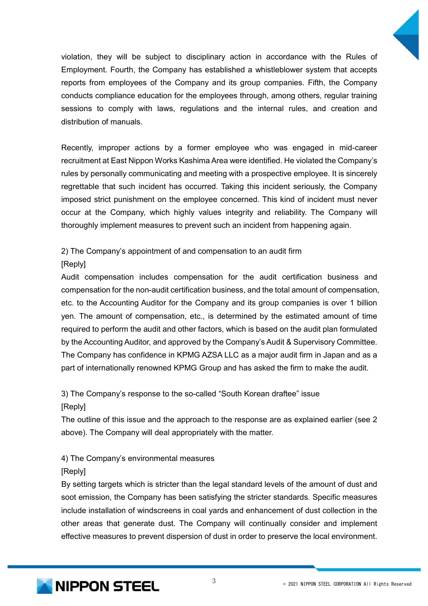

violation, they will be subject to disciplinary action in accordance with the Rules of Employment. Fourth, the Company has established a whistleblower system that accepts reports from employees of the Company and its group companies. Fifth, the Company conducts compliance education for the employees through, among others, regular training sessions to comply with laws, regulations and the internal rules, and creation and distribution of manuals.

Recently, improper actions by a former employee who was engaged in mid-career recruitment at East Nippon Works Kashima Area were identified. He violated the Company's rules by personally communicating and meeting with a prospective employee. It is sincerely regrettable that such incident has occurred. Taking this incident seriously, the Company imposed strict punishment on the employee concerned. This kind of incident must never occur at the Company, which highly values integrity and reliability. The Company will thoroughly implement measures to prevent such an incident from happening again.

2) The Company's appointment of and compensation to an audit firm

[Reply]

Audit compensation includes compensation for the audit certification business and compensation for the non-audit certification business, and the total amount of compensation, etc. to the Accounting Auditor for the Company and its group companies is over 1 billion yen. The amount of compensation, etc., is determined by the estimated amount of time required to perform the audit and other factors, which is based on the audit plan formulated by the Accounting Auditor, and approved by the Company's Audit & Supervisory Committee. The Company has confidence in KPMG AZSA LLC as a major audit firm in Japan and as a part of internationally renowned KPMG Group and has asked the firm to make the audit.

3) The Company's response to the so-called "South Korean draftee" issue

[Reply]

The outline of this issue and the approach to the response are as explained earlier (see 2 above). The Company will deal appropriately with the matter.

4) The Company's environmental measures

[Reply]

By setting targets which is stricter than the legal standard levels of the amount of dust and soot emission, the Company has been satisfying the stricter standards. Specific measures include installation of windscreens in coal yards and enhancement of dust collection in the other areas that generate dust. The Company will continually consider and implement effective measures to prevent dispersion of dust in order to preserve the local environment.

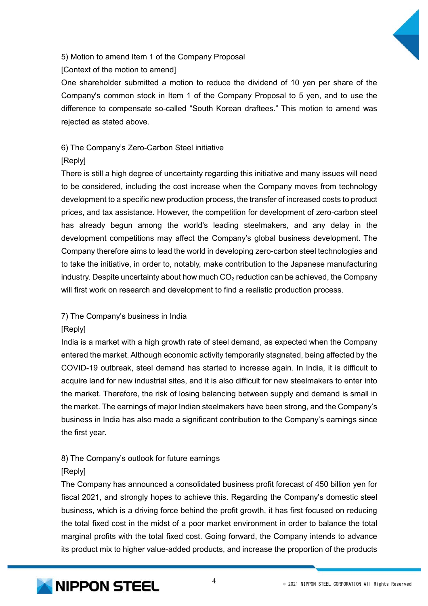

# 5) Motion to amend Item 1 of the Company Proposal

[Context of the motion to amend]

One shareholder submitted a motion to reduce the dividend of 10 yen per share of the Company's common stock in Item 1 of the Company Proposal to 5 yen, and to use the difference to compensate so-called "South Korean draftees." This motion to amend was rejected as stated above.

# 6) The Company's Zero-Carbon Steel initiative

# [Reply]

There is still a high degree of uncertainty regarding this initiative and many issues will need to be considered, including the cost increase when the Company moves from technology development to a specific new production process, the transfer of increased costs to product prices, and tax assistance. However, the competition for development of zero-carbon steel has already begun among the world's leading steelmakers, and any delay in the development competitions may affect the Company's global business development. The Company therefore aims to lead the world in developing zero-carbon steel technologies and to take the initiative, in order to, notably, make contribution to the Japanese manufacturing industry. Despite uncertainty about how much  $CO<sub>2</sub>$  reduction can be achieved, the Company will first work on research and development to find a realistic production process.

# 7) The Company's business in India

# [Reply]

India is a market with a high growth rate of steel demand, as expected when the Company entered the market. Although economic activity temporarily stagnated, being affected by the COVID-19 outbreak, steel demand has started to increase again. In India, it is difficult to acquire land for new industrial sites, and it is also difficult for new steelmakers to enter into the market. Therefore, the risk of losing balancing between supply and demand is small in the market. The earnings of major Indian steelmakers have been strong, and the Company's business in India has also made a significant contribution to the Company's earnings since the first year.

# 8) The Company's outlook for future earnings

## [Reply]

The Company has announced a consolidated business profit forecast of 450 billion yen for fiscal 2021, and strongly hopes to achieve this. Regarding the Company's domestic steel business, which is a driving force behind the profit growth, it has first focused on reducing the total fixed cost in the midst of a poor market environment in order to balance the total marginal profits with the total fixed cost. Going forward, the Company intends to advance its product mix to higher value-added products, and increase the proportion of the products